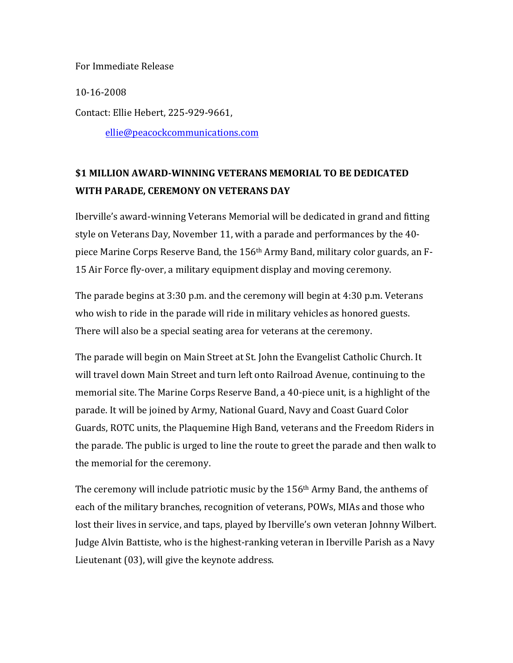For Immediate Release

10-16-2008

Contact: Ellie Hebert, 225-929-9661,

ellie@peacockcommunications.com

## **\$1 MILLION AWARD-WINNING VETERANS MEMORIAL TO BE DEDICATED WITH PARADE, CEREMONY ON VETERANS DAY**

Iberville's award-winning Veterans Memorial will be dedicated in grand and fitting style on Veterans Day, November 11, with a parade and performances by the 40piece Marine Corps Reserve Band, the 156<sup>th</sup> Army Band, military color guards, an F-15 Air Force fly-over, a military equipment display and moving ceremony.

The parade begins at  $3:30$  p.m. and the ceremony will begin at  $4:30$  p.m. Veterans who wish to ride in the parade will ride in military vehicles as honored guests. There will also be a special seating area for veterans at the ceremony.

The parade will begin on Main Street at St. John the Evangelist Catholic Church. It will travel down Main Street and turn left onto Railroad Avenue, continuing to the memorial site. The Marine Corps Reserve Band, a 40-piece unit, is a highlight of the parade. It will be joined by Army, National Guard, Navy and Coast Guard Color Guards, ROTC units, the Plaquemine High Band, veterans and the Freedom Riders in the parade. The public is urged to line the route to greet the parade and then walk to the memorial for the ceremony.

The ceremony will include patriotic music by the 156<sup>th</sup> Army Band, the anthems of each of the military branches, recognition of veterans, POWs, MIAs and those who lost their lives in service, and taps, played by Iberville's own veteran Johnny Wilbert. Judge Alvin Battiste, who is the highest-ranking veteran in Iberville Parish as a Navy Lieutenant (03), will give the keynote address.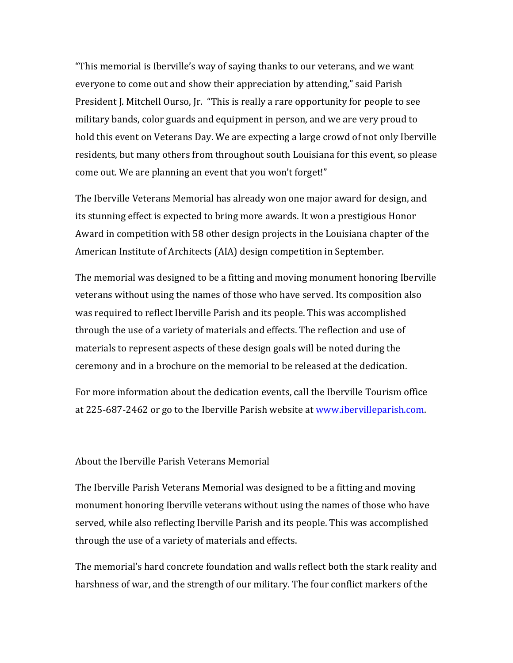"This memorial is Iberville's way of saying thanks to our veterans, and we want everyone to come out and show their appreciation by attending," said Parish President J. Mitchell Ourso, Jr. "This is really a rare opportunity for people to see military bands, color guards and equipment in person, and we are very proud to hold this event on Veterans Day. We are expecting a large crowd of not only Iberville residents, but many others from throughout south Louisiana for this event, so please come out. We are planning an event that you won't forget!"

The Iberville Veterans Memorial has already won one major award for design, and its stunning effect is expected to bring more awards. It won a prestigious Honor Award in competition with 58 other design projects in the Louisiana chapter of the American Institute of Architects (AIA) design competition in September.

The memorial was designed to be a fitting and moving monument honoring Iberville veterans without using the names of those who have served. Its composition also was required to reflect Iberville Parish and its people. This was accomplished through the use of a variety of materials and effects. The reflection and use of materials to represent aspects of these design goals will be noted during the ceremony and in a brochure on the memorial to be released at the dedication.

For more information about the dedication events, call the Iberville Tourism office at 225-687-2462 or go to the Iberville Parish website at www.ibervilleparish.com.

## About the Iberville Parish Veterans Memorial

The Iberville Parish Veterans Memorial was designed to be a fitting and moving monument honoring Iberville veterans without using the names of those who have served, while also reflecting Iberville Parish and its people. This was accomplished through the use of a variety of materials and effects.

The memorial's hard concrete foundation and walls reflect both the stark reality and harshness of war, and the strength of our military. The four conflict markers of the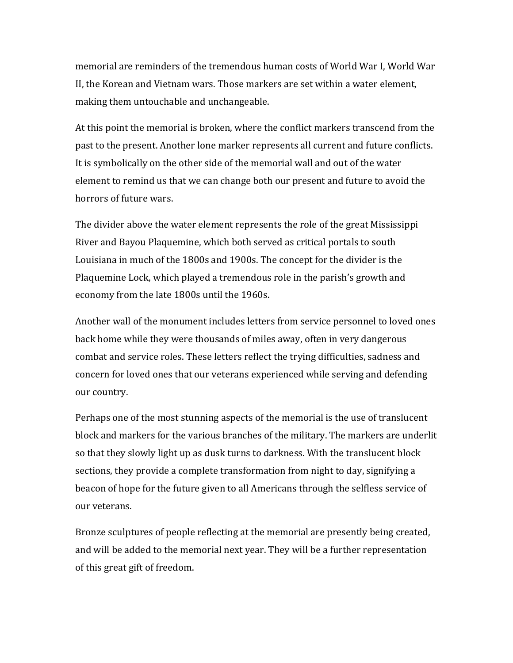memorial are reminders of the tremendous human costs of World War I, World War II, the Korean and Vietnam wars. Those markers are set within a water element, making them untouchable and unchangeable.

At this point the memorial is broken, where the conflict markers transcend from the past to the present. Another lone marker represents all current and future conflicts. It is symbolically on the other side of the memorial wall and out of the water element to remind us that we can change both our present and future to avoid the horrors of future wars.

The divider above the water element represents the role of the great Mississippi River and Bayou Plaquemine, which both served as critical portals to south Louisiana in much of the 1800s and 1900s. The concept for the divider is the Plaquemine Lock, which played a tremendous role in the parish's growth and economy from the late 1800s until the 1960s.

Another wall of the monument includes letters from service personnel to loved ones back home while they were thousands of miles away, often in very dangerous combat and service roles. These letters reflect the trying difficulties, sadness and concern for loved ones that our veterans experienced while serving and defending our country.

Perhaps one of the most stunning aspects of the memorial is the use of translucent block and markers for the various branches of the military. The markers are underlit so that they slowly light up as dusk turns to darkness. With the translucent block sections, they provide a complete transformation from night to day, signifying a beacon of hope for the future given to all Americans through the selfless service of our veterans.

Bronze sculptures of people reflecting at the memorial are presently being created, and will be added to the memorial next year. They will be a further representation of this great gift of freedom.